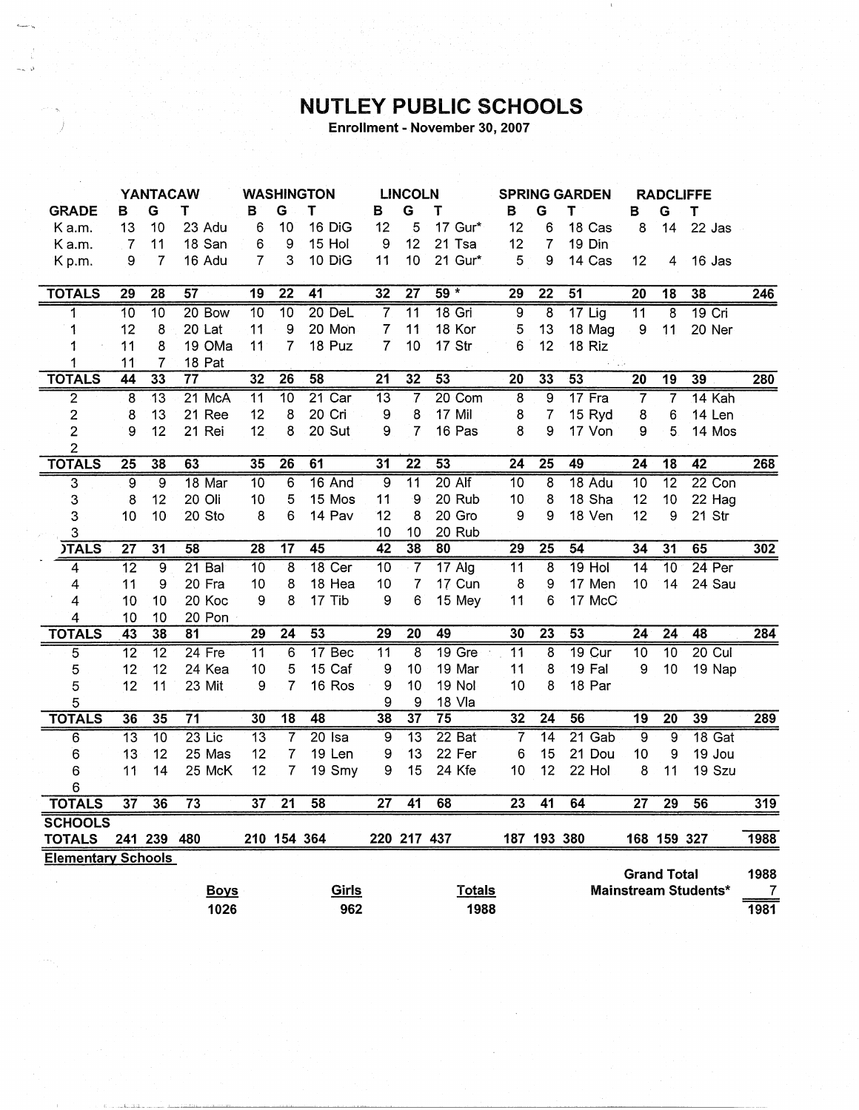## **NUTLEY PUBLIC SCHOOLS**

Enrollment - November 30, 2007

|                           | <b>YANTACAW</b> |                 |                 | <b>WASHINGTON</b> |                 |                 | <b>LINCOLN</b>  |                 |                 | <b>SPRING GARDEN</b> |                 |                 |                  | <b>RADCLIFFE</b>        |                      |      |
|---------------------------|-----------------|-----------------|-----------------|-------------------|-----------------|-----------------|-----------------|-----------------|-----------------|----------------------|-----------------|-----------------|------------------|-------------------------|----------------------|------|
| <b>GRADE</b>              | в               | G               | т               | в                 | G               | T               | в               | G               | Т               | B                    | G               | т               | в                | G                       | Т                    |      |
| K a.m.                    | 13              | 10              | 23 Adu          | 6                 | 10              | 16 DiG          | 12              | 5               | 17 Gur*         | 12                   | 6               | 18 Cas          | 8                | 14                      | 22 Jas               |      |
| K a.m.                    | 7               | 11              | 18 San          | 6                 | 9               | 15 Hol          | 9               | 12              | 21 Tsa          | 12                   | 7               | 19 Din          |                  |                         |                      |      |
| Kp.m.                     | 9               | 7               | 16 Adu          | 7                 | 3               | 10 DiG          | 11              | 10              | 21 Gur*         | 5                    | 9               | 14 Cas          | 12               | 4                       | 16 Jas               |      |
|                           |                 |                 |                 |                   |                 |                 |                 |                 |                 |                      |                 |                 |                  |                         |                      |      |
| <b>TOTALS</b>             | $\overline{29}$ | $\overline{28}$ | $\overline{57}$ | $\overline{19}$   | $\overline{22}$ | 41              | $\overline{32}$ | $\overline{27}$ | $59 *$          | 29                   | $\overline{22}$ | 51              | $\overline{20}$  | $\overline{18}$         | 38                   | 246  |
| 1                         | $\overline{10}$ | 10              | 20 Bow          | 10                | $\overline{10}$ | 20 DeL          | $\overline{7}$  | $\overline{11}$ | 18 Gri          | $\overline{9}$       | 8               | $17$ Lig        | $\overline{11}$  | 8                       | 19 Cri               |      |
| 1                         | 12              | 8               | 20 Lat          | 11                | 9               | 20 Mon          | 7               | 11              | 18 Kor          | 5                    | 13              | 18 Mag          | 9                | 11                      | 20 Ner               |      |
| 1                         | 11              | 8               | 19 OMa          | 11                | 7               | 18 Puz          | $\overline{7}$  | 10              | 17 Str          | 6                    | 12              | 18 Riz          |                  |                         |                      |      |
| 1                         | 11              | 7               | 18 Pat          |                   |                 |                 |                 |                 |                 |                      |                 | <b>COLLE</b>    |                  |                         |                      |      |
| <b>TOTALS</b>             | 44              | 33              | $\overline{77}$ | 32                | 26              | 58              | $\overline{21}$ | 32              | 53              | 20                   | 33              | 53              | $\overline{20}$  | $\overline{19}$         | 39                   | 280  |
| $\overline{2}$            | 8               | $\overline{13}$ | 21 McA          | $\overline{11}$   | $\overline{10}$ | 21 Car          | $\overline{13}$ | 7               | 20 Com          | 8                    | 9               | 17 Fra          | 7                | $\overline{\mathbf{7}}$ | 14 Kah               |      |
| $\overline{c}$            | 8               | 13              | 21 Ree          | 12                | 8               | 20 Cri          | 9               | 8               | 17 Mil          | 8                    | $\overline{7}$  | 15 Ryd          | 8                | 6                       | 14 Len               |      |
| 2                         | 9               | 12              | 21 Rei          | 12                | 8               | 20 Sut          | 9               | $\overline{7}$  | 16 Pas          | 8                    | 9               | 17 Von          | 9                | 5                       | 14 Mos               |      |
| $\overline{c}$            |                 |                 |                 |                   |                 |                 |                 |                 |                 |                      |                 |                 |                  |                         |                      |      |
| <b>TOTALS</b>             | $\overline{25}$ | $\overline{38}$ | 63              | 35                | $\overline{26}$ | 61              | $\overline{31}$ | $\overline{22}$ | $\overline{53}$ | $\overline{24}$      | $\overline{25}$ | 49              | $\overline{24}$  | $\overline{18}$         | 42                   | 268  |
| $\overline{3}$            | $\overline{9}$  | $\overline{9}$  | 18 Mar          | $\overline{10}$   | $\overline{6}$  | 16 And          | $\overline{9}$  | $\overline{11}$ | $20$ Alf        | $\overline{10}$      | $\overline{8}$  | 18 Adu          | 10               | $\overline{12}$         | 22 Con               |      |
| 3                         | 8               | 12              | 20 Oli          | 10                | 5               | 15 Mos          | 11              | 9               | 20 Rub          | 10                   | 8               | 18 Sha          | 12               | 10                      | 22 Hag               |      |
| 3                         | 10              | 10              | 20 Sto          | 8                 | 6               | 14 Pav          | 12              | 8               | 20 Gro          | 9                    | 9               | 18 Ven          | 12               | 9                       | 21 Str               |      |
| 3                         |                 |                 |                 |                   |                 |                 | 10              | 10              | 20 Rub          |                      |                 |                 |                  |                         |                      |      |
| <b>JTALS</b>              | $\overline{27}$ | $\overline{31}$ | 58              | $\overline{28}$   | $\overline{17}$ | 45              | 42              | 38              | 80              | 29                   | $\overline{25}$ | 54              | 34               | 31                      | 65                   | 302  |
| 4                         | $\overline{12}$ | 9               | $21$ Bal        | 10                | 8               | 18 Cer          | $\overline{10}$ | $\overline{7}$  | $17$ Alg        | $\overline{11}$      | 8               | $19$ Hol        | 14               | $\overline{10}$         | 24 Per               |      |
| $\overline{4}$            | 11              | 9               | 20 Fra          | 10                | 8               | 18 Hea          | 10              | 7               | 17 Cun          | 8                    | 9               | 17 Men          | 10               | 14                      | 24 Sau               |      |
| $\overline{4}$            | 10              | 10              | 20 Koc          | 9                 | 8               | 17 Tib          | 9               | 6               | 15 Mey          | 11                   | 6               | 17 McC          |                  |                         |                      |      |
| 4                         | 10              | 10              | 20 Pon          |                   |                 |                 |                 |                 |                 |                      |                 |                 |                  |                         |                      |      |
| <b>TOTALS</b>             | $\overline{43}$ | 38              | 81              | 29                | $\overline{24}$ | $\overline{53}$ | $\overline{29}$ | $\overline{20}$ | 49              | 30                   | $\overline{23}$ | $\overline{53}$ | $\overline{24}$  | $\overline{24}$         | 48                   | 284  |
| 5                         | $\overline{12}$ | $\overline{12}$ | $24$ Fre        | 11                | 6               | 17 Bec          | $\overline{11}$ | 8               | $19$ Gre        | $\overline{11}$      | 8               | $19$ Cur        | $\overline{10}$  | $\overline{10}$         | $20$ Cul             |      |
| 5                         | 12              | 12              | 24 Kea          | 10                | 5               | 15 Caf          | 9               | 10              | 19 Mar          | 11                   | 8               | 19 Fal          | $\boldsymbol{9}$ | 10                      | 19 Nap               |      |
| 5                         | 12              | 11              | 23 Mit          | 9                 | 7               | 16 Ros          | 9               | 10              | <b>19 Nol</b>   | 10                   | 8               | 18 Par          |                  |                         |                      |      |
| 5                         |                 |                 |                 |                   |                 |                 | 9               | 9               | 18 Vla          |                      |                 |                 |                  |                         |                      |      |
| <b>TOTALS</b>             | 36              | $\overline{35}$ | $\overline{71}$ | 30                | $\overline{18}$ | 48              | 38              | $\overline{37}$ | $\overline{75}$ | 32                   | $\overline{24}$ | 56              | 19               | $\overline{20}$         | 39                   | 289  |
| $\overline{6}$            | $\overline{13}$ | $\overline{10}$ | $23$ Lic        | $\overline{13}$   | $\overline{7}$  | $20$ Isa        | $\overline{9}$  | $\overline{13}$ | $22$ Bat        | 7                    | $\overline{14}$ | 21 Gab          | $\overline{9}$   | $\overline{9}$          | 18 Gat               |      |
| 6                         | 13              | 12              | 25 Mas          | 12                | 7               | 19 Len          | 9               | 13              | 22 Fer          | 6                    | 15              | 21 Dou          | 10               | 9                       | 19 Jou               |      |
| 6                         | 11              | 14              | 25 McK          | 12                | 7               | 19 Smy          | 9               | 15              | 24 Kfe          | 10                   | 12              | 22 Hol          | 8                | 11                      | 19 Szu               |      |
| 6                         |                 |                 |                 |                   |                 |                 |                 |                 |                 |                      |                 |                 |                  |                         |                      |      |
| <b>TOTALS</b>             | $\overline{37}$ | $\overline{36}$ | $\overline{73}$ | $\overline{37}$   | $\overline{21}$ | 58              | $\overline{27}$ | $\overline{41}$ | 68              | $\overline{23}$      | $\overline{41}$ | 64              | $\overline{27}$  | $\overline{29}$         | 56                   | 319  |
| <b>SCHOOLS</b>            |                 |                 |                 |                   |                 |                 |                 |                 |                 |                      |                 |                 |                  |                         |                      |      |
| <b>TOTALS</b>             |                 | 241 239         | 480             |                   | 210 154 364     |                 |                 | 220 217 437     |                 |                      | 187 193 380     |                 |                  | 168 159 327             |                      | 1988 |
| <b>Elementary Schools</b> |                 |                 |                 |                   |                 |                 |                 |                 |                 |                      |                 |                 |                  |                         |                      |      |
|                           |                 |                 |                 |                   |                 |                 |                 |                 |                 |                      |                 |                 |                  | <b>Grand Total</b>      |                      | 1988 |
|                           |                 |                 | <b>Boys</b>     |                   |                 | Girls           |                 |                 | <b>Totals</b>   |                      |                 |                 |                  |                         | Mainstream Students* | 7    |
|                           |                 |                 | 1026            |                   |                 | 962             |                 |                 | 1988            |                      |                 |                 |                  |                         |                      | 1981 |